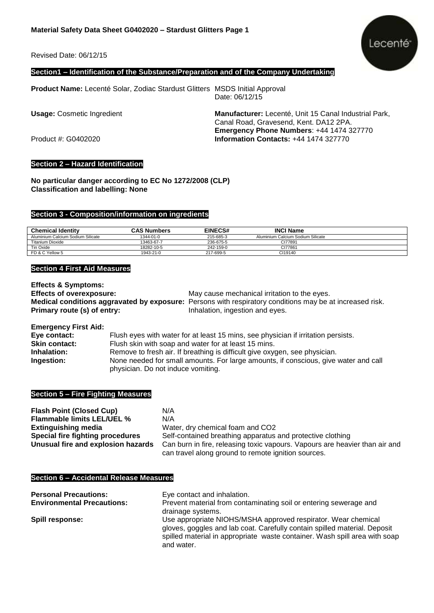Revised Date: 06/12/15



## **Section1 – Identification of the Substance/Preparation and of the Company Undertaking**

**Product Name:** Lecenté Solar, Zodiac Stardust Glitters MSDS Initial Approval

Date: 06/12/15

**Usage:** Cosmetic Ingredient **Manufacturer:** Lecenté, Unit 15 Canal Industrial Park, Canal Road, Gravesend, Kent. DA12 2PA. **Emergency Phone Numbers**: +44 1474 327770 Product #: G0402020 **Information Contacts:** +44 1474 327770

## **Section 2 – Hazard Identification**

**No particular danger according to EC No 1272/2008 (CLP) Classification and labelling: None**

#### **Section 3 - Composition/information on ingredients**

| <b>Chemical Identity</b>          | <b>CAS Numbers</b> | <b>EINECS#</b> | <b>INCI Name</b>                  |  |
|-----------------------------------|--------------------|----------------|-----------------------------------|--|
| Aluminium Calcium Sodium Silicate | 1344-01-0          | 215-685-3      | Aluminium Calcium Sodium Silicate |  |
| Titanium Dioxide                  | 13463-67-7         | 236-675-5      | CI77891                           |  |
| Tin Oxide                         | 18282-10-5         | 242-159-0      | CI77861                           |  |
| FD & C Yellow 5                   | 1943-21-0          | 217-699-5      | CI19140                           |  |

#### **Section 4 First Aid Measures**

**Effects & Symptoms: Effects of overexposure:** May cause mechanical irritation to the eyes. **Medical conditions aggravated by exposure:** Persons with respiratory conditions may be at increased risk. **Primary route (s) of entry:** Inhalation, ingestion and eyes.

**Emergency First Aid: Eye contact:** Flush eyes with water for at least 15 mins, see physician if irritation persists. **Skin contact:** Flush skin with soap and water for at least 15 mins. **Inhalation:** Remove to fresh air. If breathing is difficult give oxygen, see physician. **Ingestion:** None needed for small amounts. For large amounts, if conscious, give water and call physician. Do not induce vomiting.

#### **Section 5 – Fire Fighting Measures**

| <b>Flash Point (Closed Cup)</b>    | N/A                                                                         |
|------------------------------------|-----------------------------------------------------------------------------|
| <b>Flammable limits LEL/UEL %</b>  | N/A                                                                         |
| <b>Extinguishing media</b>         | Water, dry chemical foam and CO2                                            |
| Special fire fighting procedures   | Self-contained breathing apparatus and protective clothing                  |
| Unusual fire and explosion hazards | Can burn in fire, releasing toxic vapours. Vapours are heavier than air and |
|                                    | can travel along ground to remote ignition sources.                         |

#### **Section 6 – Accidental Release Measures**

| <b>Personal Precautions:</b>      | Eye contact and inhalation.                                                                                                                                                                                              |
|-----------------------------------|--------------------------------------------------------------------------------------------------------------------------------------------------------------------------------------------------------------------------|
| <b>Environmental Precautions:</b> | Prevent material from contaminating soil or entering sewerage and                                                                                                                                                        |
|                                   | drainage systems.                                                                                                                                                                                                        |
| Spill response:                   | Use appropriate NIOHS/MSHA approved respirator. Wear chemical<br>gloves, goggles and lab coat. Carefully contain spilled material. Deposit<br>spilled material in appropriate waste container. Wash spill area with soap |
|                                   | and water.                                                                                                                                                                                                               |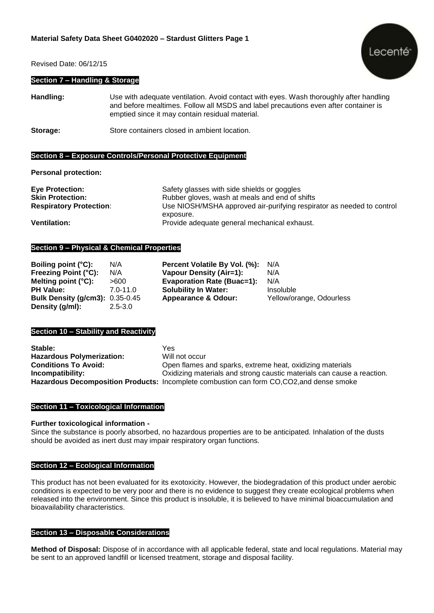Revised Date: 06/12/15

### **Section 7 – Handling & Storage**

Lecenté

**Handling:** Use with adequate ventilation. Avoid contact with eyes. Wash thoroughly after handling and before mealtimes. Follow all MSDS and label precautions even after container is emptied since it may contain residual material.

**Storage:** Store containers closed in ambient location.

## **Section 8 – Exposure Controls/Personal Protective Equipment**

**Personal protection:** 

| <b>Eye Protection:</b>         | Safety glasses with side shields or goggles                           |
|--------------------------------|-----------------------------------------------------------------------|
| <b>Skin Protection:</b>        | Rubber gloves, wash at meals and end of shifts                        |
| <b>Respiratory Protection:</b> | Use NIOSH/MSHA approved air-purifying respirator as needed to control |
|                                | exposure.                                                             |
| <b>Ventilation:</b>            | Provide adequate general mechanical exhaust.                          |

# **Section 9 – Physical & Chemical Properties**

| Boiling point (°C):                    | N/A          | Percent Volatile By Vol. (%):     | N/A                      |
|----------------------------------------|--------------|-----------------------------------|--------------------------|
| <b>Freezing Point (°C):</b>            | N/A          | <b>Vapour Density (Air=1):</b>    | N/A                      |
| Melting point $(^{\circ}C)$ :          | >600         | <b>Evaporation Rate (Buac=1):</b> | N/A                      |
| <b>PH Value:</b>                       | $7.0 - 11.0$ | <b>Solubility In Water:</b>       | Insoluble                |
| <b>Bulk Density (g/cm3): 0.35-0.45</b> |              | <b>Appearance &amp; Odour:</b>    | Yellow/orange, Odourless |
| Density (g/ml):                        | $2.5 - 3.0$  |                                   |                          |

#### **Section 10 – Stability and Reactivity**

**Stable:** Yes **Hazardous Polymerization:** Will not occur<br> **Conditions To Avoid:** Open flames **Conditions To and sparks, extreme heat, oxidizing materials Incompatibility: Incompatibility:** Oxidizing materials and strong caustic materials can cause a reaction. **Hazardous Decomposition Products:** Incomplete combustion can form CO,CO2,and dense smoke

## **Section 11 – Toxicological Information**

#### **Further toxicological information -**

Since the substance is poorly absorbed, no hazardous properties are to be anticipated. Inhalation of the dusts should be avoided as inert dust may impair respiratory organ functions.

## **Section 12 – Ecological Information**

This product has not been evaluated for its exotoxicity. However, the biodegradation of this product under aerobic conditions is expected to be very poor and there is no evidence to suggest they create ecological problems when released into the environment. Since this product is insoluble, it is believed to have minimal bioaccumulation and bioavailability characteristics.

#### **Section 13 – Disposable Considerations**

**Method of Disposal:** Dispose of in accordance with all applicable federal, state and local regulations. Material may be sent to an approved landfill or licensed treatment, storage and disposal facility.